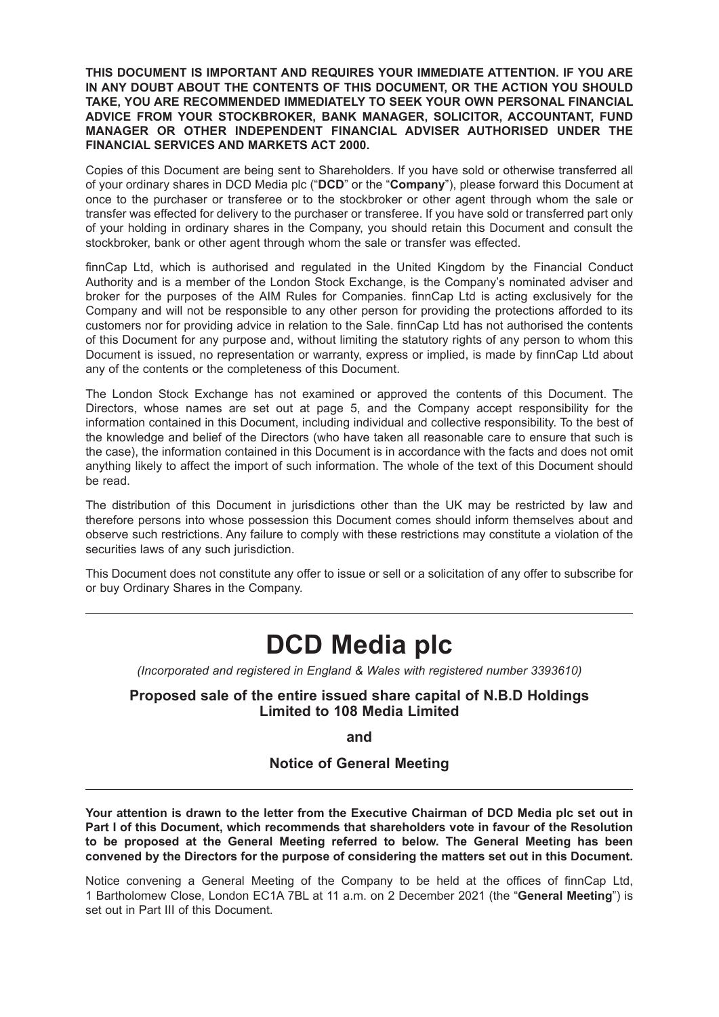**THIS DOCUMENT IS IMPORTANT AND REQUIRES YOUR IMMEDIATE ATTENTION. IF YOU ARE IN ANY DOUBT ABOUT THE CONTENTS OF THIS DOCUMENT, OR THE ACTION YOU SHOULD TAKE, YOU ARE RECOMMENDED IMMEDIATELY TO SEEK YOUR OWN PERSONAL FINANCIAL ADVICE FROM YOUR STOCKBROKER, BANK MANAGER, SOLICITOR, ACCOUNTANT, FUND MANAGER OR OTHER INDEPENDENT FINANCIAL ADVISER AUTHORISED UNDER THE FINANCIAL SERVICES AND MARKETS ACT 2000.**

Copies of this Document are being sent to Shareholders. If you have sold or otherwise transferred all of your ordinary shares in DCD Media plc ("**DCD**" or the "**Company**"), please forward this Document at once to the purchaser or transferee or to the stockbroker or other agent through whom the sale or transfer was effected for delivery to the purchaser or transferee. If you have sold or transferred part only of your holding in ordinary shares in the Company, you should retain this Document and consult the stockbroker, bank or other agent through whom the sale or transfer was effected.

finnCap Ltd, which is authorised and regulated in the United Kingdom by the Financial Conduct Authority and is a member of the London Stock Exchange, is the Company's nominated adviser and broker for the purposes of the AIM Rules for Companies. finnCap Ltd is acting exclusively for the Company and will not be responsible to any other person for providing the protections afforded to its customers nor for providing advice in relation to the Sale. finnCap Ltd has not authorised the contents of this Document for any purpose and, without limiting the statutory rights of any person to whom this Document is issued, no representation or warranty, express or implied, is made by finnCap Ltd about any of the contents or the completeness of this Document.

The London Stock Exchange has not examined or approved the contents of this Document. The Directors, whose names are set out at page 5, and the Company accept responsibility for the information contained in this Document, including individual and collective responsibility. To the best of the knowledge and belief of the Directors (who have taken all reasonable care to ensure that such is the case), the information contained in this Document is in accordance with the facts and does not omit anything likely to affect the import of such information. The whole of the text of this Document should be read.

The distribution of this Document in jurisdictions other than the UK may be restricted by law and therefore persons into whose possession this Document comes should inform themselves about and observe such restrictions. Any failure to comply with these restrictions may constitute a violation of the securities laws of any such jurisdiction.

This Document does not constitute any offer to issue or sell or a solicitation of any offer to subscribe for or buy Ordinary Shares in the Company.

# **DCD Media plc**

*(Incorporated and registered in England & Wales with registered number 3393610)*

### **Proposed sale of the entire issued share capital of N.B.D Holdings Limited to 108 Media Limited**

**and**

### **Notice of General Meeting**

**Your attention is drawn to the letter from the Executive Chairman of DCD Media plc set out in Part I of this Document, which recommends that shareholders vote in favour of the Resolution to be proposed at the General Meeting referred to below. The General Meeting has been convened by the Directors for the purpose of considering the matters set out in this Document.**

Notice convening a General Meeting of the Company to be held at the offices of finnCap Ltd, 1 Bartholomew Close, London EC1A 7BL at 11 a.m. on 2 December 2021 (the "**General Meeting**") is set out in Part III of this Document.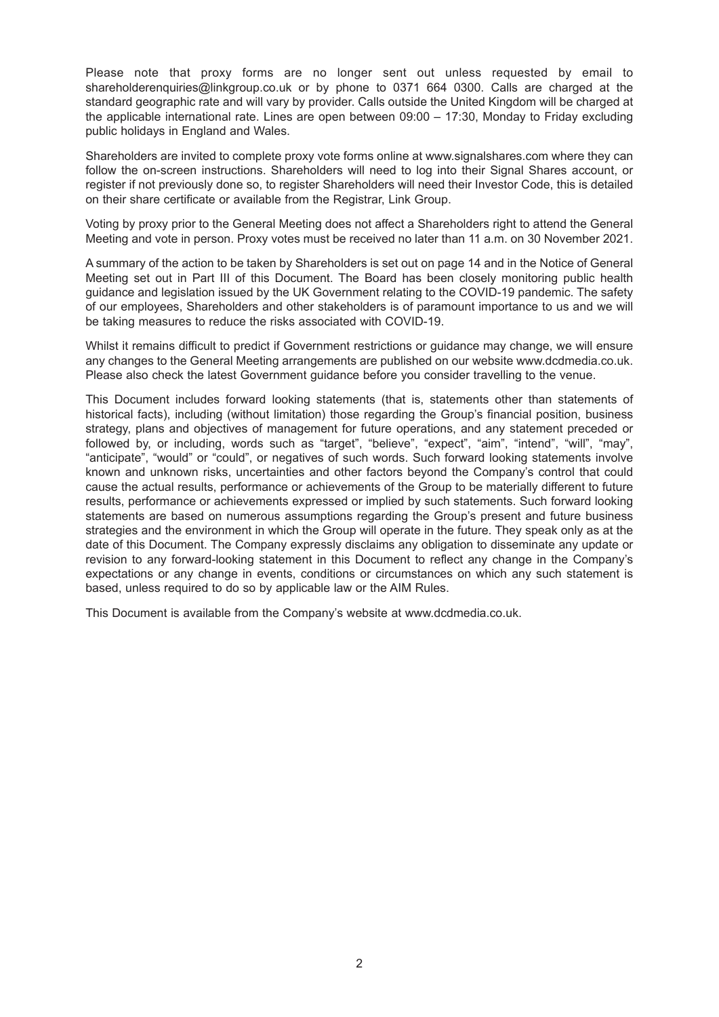Please note that proxy forms are no longer sent out unless requested by email to shareholderenquiries@linkgroup.co.uk or by phone to 0371 664 0300. Calls are charged at the standard geographic rate and will vary by provider. Calls outside the United Kingdom will be charged at the applicable international rate. Lines are open between 09:00 – 17:30, Monday to Friday excluding public holidays in England and Wales.

Shareholders are invited to complete proxy vote forms online at www.signalshares.com where they can follow the on-screen instructions. Shareholders will need to log into their Signal Shares account, or register if not previously done so, to register Shareholders will need their Investor Code, this is detailed on their share certificate or available from the Registrar, Link Group.

Voting by proxy prior to the General Meeting does not affect a Shareholders right to attend the General Meeting and vote in person. Proxy votes must be received no later than 11 a.m. on 30 November 2021.

A summary of the action to be taken by Shareholders is set out on page 14 and in the Notice of General Meeting set out in Part III of this Document. The Board has been closely monitoring public health guidance and legislation issued by the UK Government relating to the COVID-19 pandemic. The safety of our employees, Shareholders and other stakeholders is of paramount importance to us and we will be taking measures to reduce the risks associated with COVID-19.

Whilst it remains difficult to predict if Government restrictions or guidance may change, we will ensure any changes to the General Meeting arrangements are published on our website www.dcdmedia.co.uk. Please also check the latest Government guidance before you consider travelling to the venue.

This Document includes forward looking statements (that is, statements other than statements of historical facts), including (without limitation) those regarding the Group's financial position, business strategy, plans and objectives of management for future operations, and any statement preceded or followed by, or including, words such as "target", "believe", "expect", "aim", "intend", "will", "may", "anticipate", "would" or "could", or negatives of such words. Such forward looking statements involve known and unknown risks, uncertainties and other factors beyond the Company's control that could cause the actual results, performance or achievements of the Group to be materially different to future results, performance or achievements expressed or implied by such statements. Such forward looking statements are based on numerous assumptions regarding the Group's present and future business strategies and the environment in which the Group will operate in the future. They speak only as at the date of this Document. The Company expressly disclaims any obligation to disseminate any update or revision to any forward-looking statement in this Document to reflect any change in the Company's expectations or any change in events, conditions or circumstances on which any such statement is based, unless required to do so by applicable law or the AIM Rules.

This Document is available from the Company's website at www.dcdmedia.co.uk.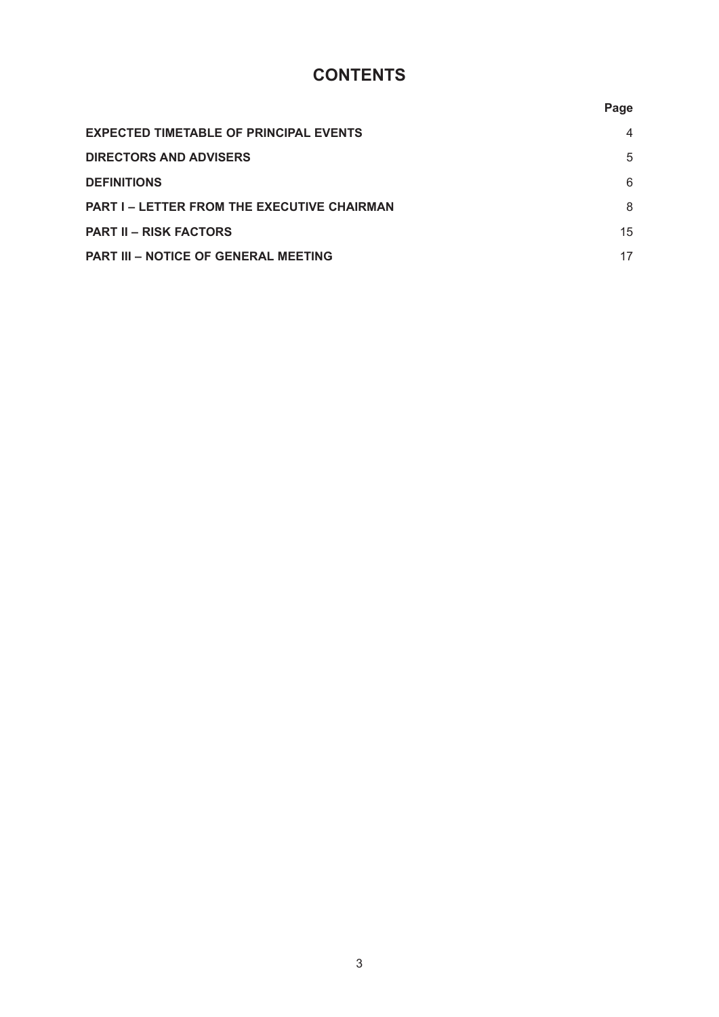# **CONTENTS**

|                                                    | Page           |
|----------------------------------------------------|----------------|
| <b>EXPECTED TIMETABLE OF PRINCIPAL EVENTS</b>      | $\overline{4}$ |
| <b>DIRECTORS AND ADVISERS</b>                      | 5              |
| <b>DEFINITIONS</b>                                 | 6              |
| <b>PART I – LETTER FROM THE EXECUTIVE CHAIRMAN</b> | 8              |
| <b>PART II – RISK FACTORS</b>                      | 15             |
| PART III - NOTICE OF GENERAL MEETING               | 17             |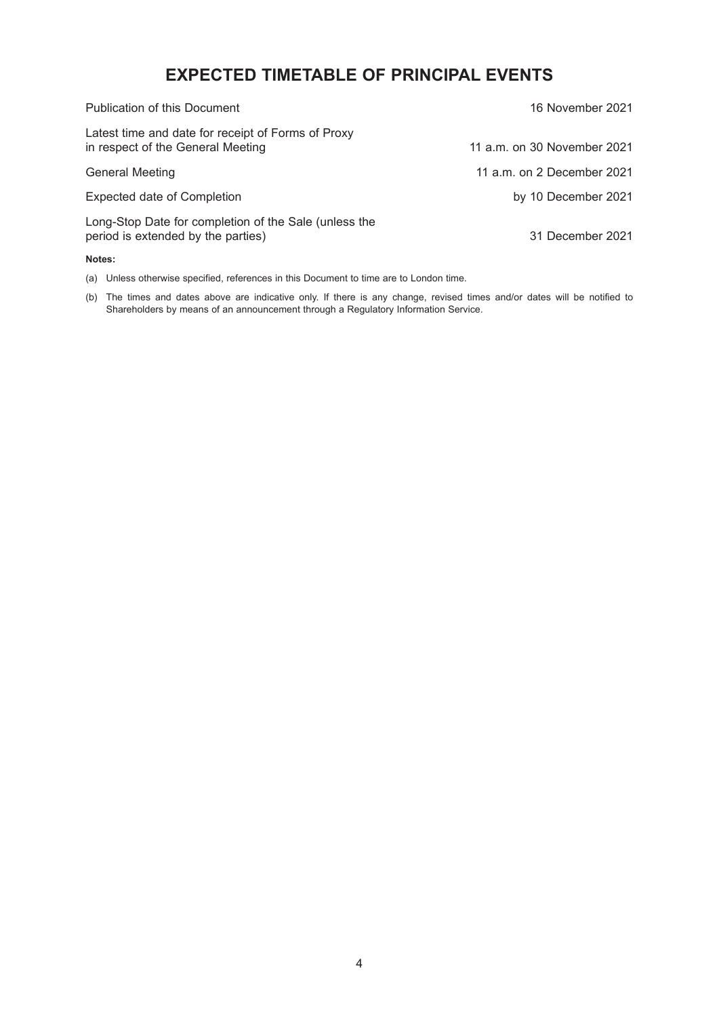# **EXPECTED TIMETABLE OF PRINCIPAL EVENTS**

| Publication of this Document                                                                | 16 November 2021            |
|---------------------------------------------------------------------------------------------|-----------------------------|
| Latest time and date for receipt of Forms of Proxy<br>in respect of the General Meeting     | 11 a.m. on 30 November 2021 |
| <b>General Meeting</b>                                                                      | 11 a.m. on 2 December 2021  |
| Expected date of Completion                                                                 | by 10 December 2021         |
| Long-Stop Date for completion of the Sale (unless the<br>period is extended by the parties) | 31 December 2021            |

#### **Notes:**

(a) Unless otherwise specified, references in this Document to time are to London time.

(b) The times and dates above are indicative only. If there is any change, revised times and/or dates will be notified to Shareholders by means of an announcement through a Regulatory Information Service.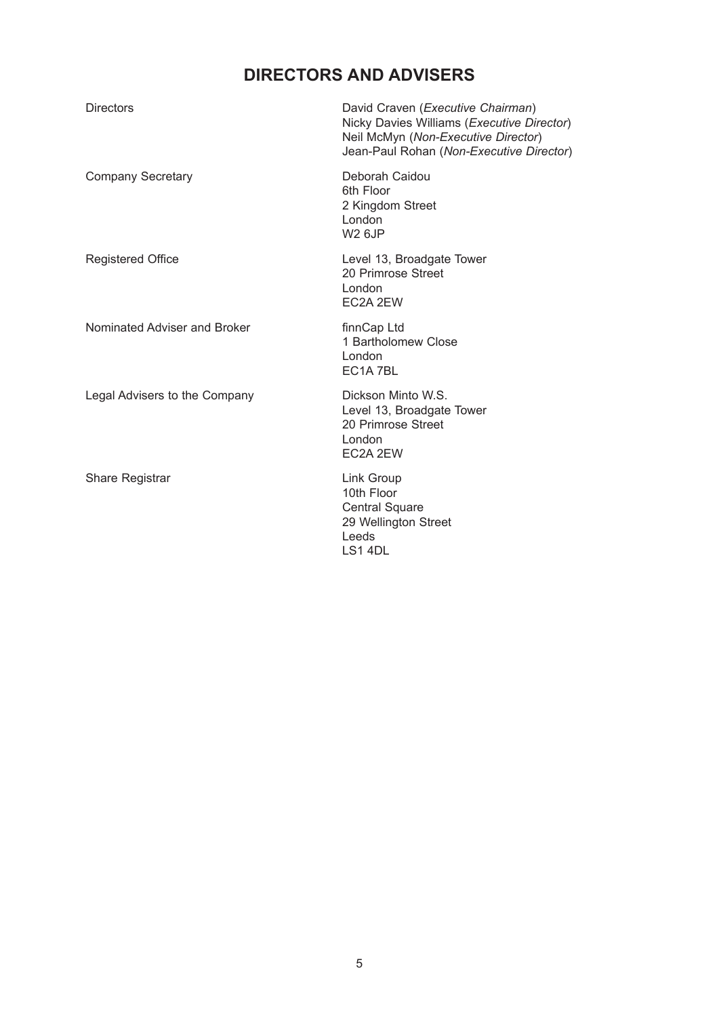# **DIRECTORS AND ADVISERS**

| <b>Directors</b>              | David Craven (Executive Chairman)<br>Nicky Davies Williams (Executive Director)<br>Neil McMyn (Non-Executive Director)<br>Jean-Paul Rohan (Non-Executive Director) |
|-------------------------------|--------------------------------------------------------------------------------------------------------------------------------------------------------------------|
| <b>Company Secretary</b>      | Deborah Caidou<br>6th Floor<br>2 Kingdom Street<br>London<br><b>W2 6JP</b>                                                                                         |
| <b>Registered Office</b>      | Level 13, Broadgate Tower<br>20 Primrose Street<br>London<br>EC2A 2EW                                                                                              |
| Nominated Adviser and Broker  | finnCap Ltd<br>1 Bartholomew Close<br>London<br>EC1A7BL                                                                                                            |
| Legal Advisers to the Company | Dickson Minto W.S.<br>Level 13, Broadgate Tower<br>20 Primrose Street<br>London<br>EC2A 2EW                                                                        |
| <b>Share Registrar</b>        | Link Group<br>10th Floor<br><b>Central Square</b><br>29 Wellington Street<br>Leeds<br>LS1 4DL                                                                      |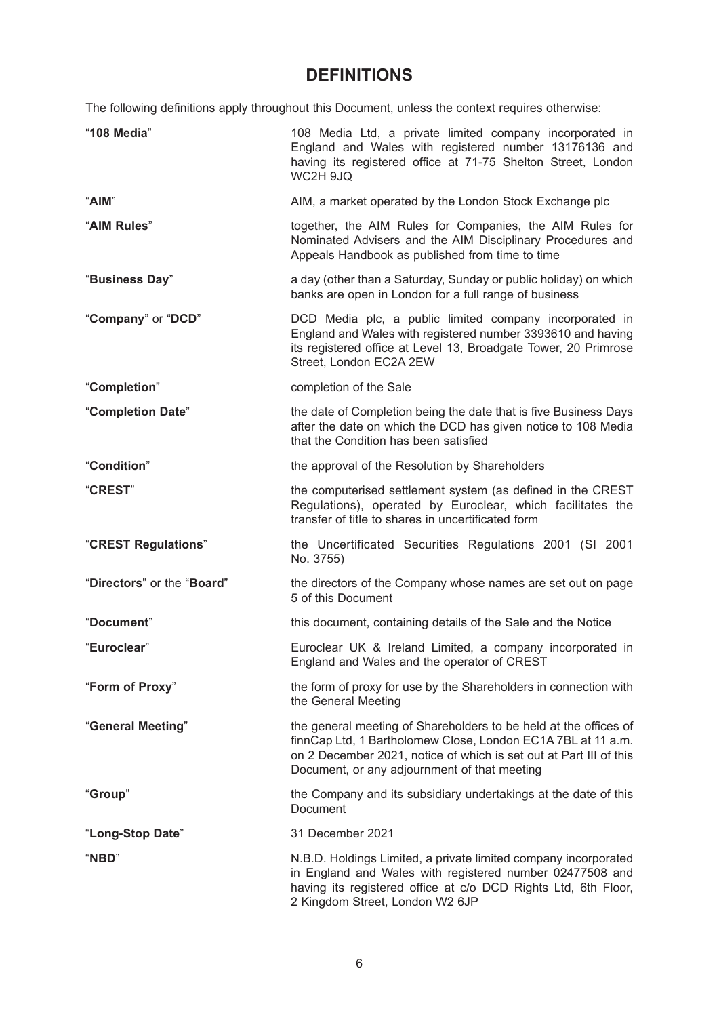# **DEFINITIONS**

The following definitions apply throughout this Document, unless the context requires otherwise:

| "108 Media"                | 108 Media Ltd, a private limited company incorporated in<br>England and Wales with registered number 13176136 and<br>having its registered office at 71-75 Shelton Street, London<br>WC2H 9JQ                                                          |
|----------------------------|--------------------------------------------------------------------------------------------------------------------------------------------------------------------------------------------------------------------------------------------------------|
| "AIM"                      | AIM, a market operated by the London Stock Exchange plc                                                                                                                                                                                                |
| "AIM Rules"                | together, the AIM Rules for Companies, the AIM Rules for<br>Nominated Advisers and the AIM Disciplinary Procedures and<br>Appeals Handbook as published from time to time                                                                              |
| "Business Day"             | a day (other than a Saturday, Sunday or public holiday) on which<br>banks are open in London for a full range of business                                                                                                                              |
| "Company" or "DCD"         | DCD Media plc, a public limited company incorporated in<br>England and Wales with registered number 3393610 and having<br>its registered office at Level 13, Broadgate Tower, 20 Primrose<br>Street, London EC2A 2EW                                   |
| "Completion"               | completion of the Sale                                                                                                                                                                                                                                 |
| "Completion Date"          | the date of Completion being the date that is five Business Days<br>after the date on which the DCD has given notice to 108 Media<br>that the Condition has been satisfied                                                                             |
| "Condition"                | the approval of the Resolution by Shareholders                                                                                                                                                                                                         |
| "CREST"                    | the computerised settlement system (as defined in the CREST<br>Regulations), operated by Euroclear, which facilitates the<br>transfer of title to shares in uncertificated form                                                                        |
| "CREST Regulations"        | the Uncertificated Securities Regulations 2001 (SI 2001<br>No. 3755)                                                                                                                                                                                   |
| "Directors" or the "Board" | the directors of the Company whose names are set out on page<br>5 of this Document                                                                                                                                                                     |
| "Document"                 | this document, containing details of the Sale and the Notice                                                                                                                                                                                           |
| "Euroclear"                | Euroclear UK & Ireland Limited, a company incorporated in<br>England and Wales and the operator of CREST                                                                                                                                               |
| "Form of Proxy"            | the form of proxy for use by the Shareholders in connection with<br>the General Meeting                                                                                                                                                                |
| "General Meeting"          | the general meeting of Shareholders to be held at the offices of<br>finnCap Ltd, 1 Bartholomew Close, London EC1A 7BL at 11 a.m.<br>on 2 December 2021, notice of which is set out at Part III of this<br>Document, or any adjournment of that meeting |
| "Group"                    | the Company and its subsidiary undertakings at the date of this<br>Document                                                                                                                                                                            |
| "Long-Stop Date"           | 31 December 2021                                                                                                                                                                                                                                       |
| "NBD"                      | N.B.D. Holdings Limited, a private limited company incorporated<br>in England and Wales with registered number 02477508 and<br>having its registered office at c/o DCD Rights Ltd, 6th Floor,<br>2 Kingdom Street, London W2 6JP                       |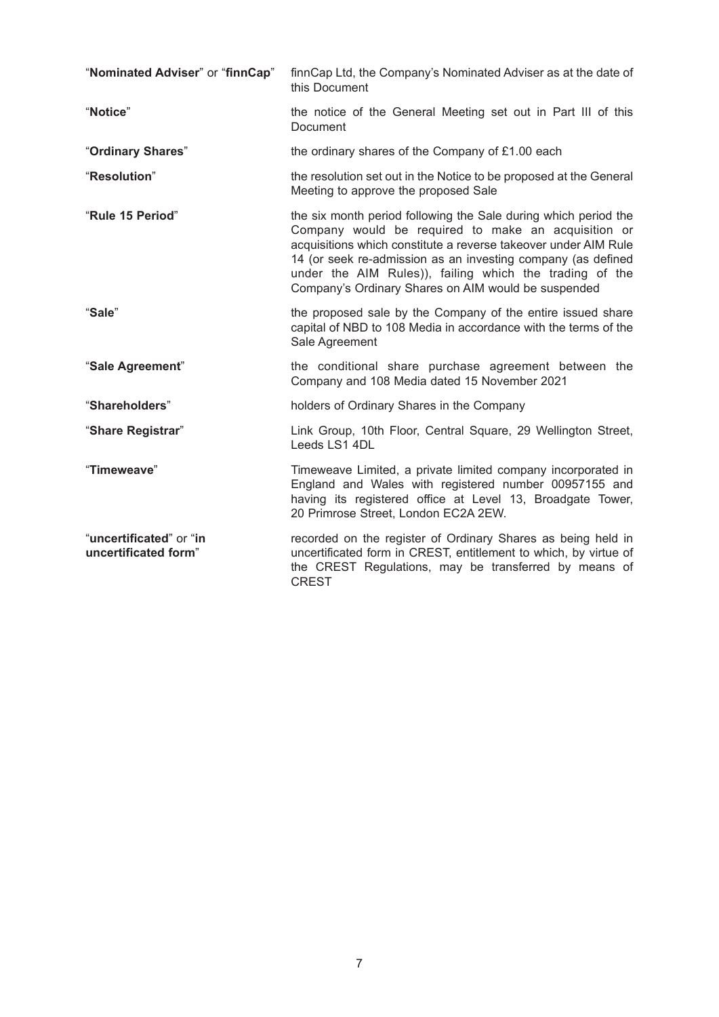| "Nominated Adviser" or "finnCap"                | finnCap Ltd, the Company's Nominated Adviser as at the date of<br>this Document                                                                                                                                                                                                                                                                                             |
|-------------------------------------------------|-----------------------------------------------------------------------------------------------------------------------------------------------------------------------------------------------------------------------------------------------------------------------------------------------------------------------------------------------------------------------------|
| "Notice"                                        | the notice of the General Meeting set out in Part III of this<br>Document                                                                                                                                                                                                                                                                                                   |
| "Ordinary Shares"                               | the ordinary shares of the Company of £1.00 each                                                                                                                                                                                                                                                                                                                            |
| "Resolution"                                    | the resolution set out in the Notice to be proposed at the General<br>Meeting to approve the proposed Sale                                                                                                                                                                                                                                                                  |
| "Rule 15 Period"                                | the six month period following the Sale during which period the<br>Company would be required to make an acquisition or<br>acquisitions which constitute a reverse takeover under AIM Rule<br>14 (or seek re-admission as an investing company (as defined<br>under the AIM Rules)), failing which the trading of the<br>Company's Ordinary Shares on AIM would be suspended |
| "Sale"                                          | the proposed sale by the Company of the entire issued share<br>capital of NBD to 108 Media in accordance with the terms of the<br>Sale Agreement                                                                                                                                                                                                                            |
| "Sale Agreement"                                | the conditional share purchase agreement between the<br>Company and 108 Media dated 15 November 2021                                                                                                                                                                                                                                                                        |
| "Shareholders"                                  | holders of Ordinary Shares in the Company                                                                                                                                                                                                                                                                                                                                   |
| "Share Registrar"                               | Link Group, 10th Floor, Central Square, 29 Wellington Street,<br>Leeds LS1 4DL                                                                                                                                                                                                                                                                                              |
| "Timeweave"                                     | Timeweave Limited, a private limited company incorporated in<br>England and Wales with registered number 00957155 and<br>having its registered office at Level 13, Broadgate Tower,<br>20 Primrose Street, London EC2A 2EW.                                                                                                                                                 |
| "uncertificated" or "in<br>uncertificated form" | recorded on the register of Ordinary Shares as being held in<br>uncertificated form in CREST, entitlement to which, by virtue of<br>the CREST Regulations, may be transferred by means of<br><b>CREST</b>                                                                                                                                                                   |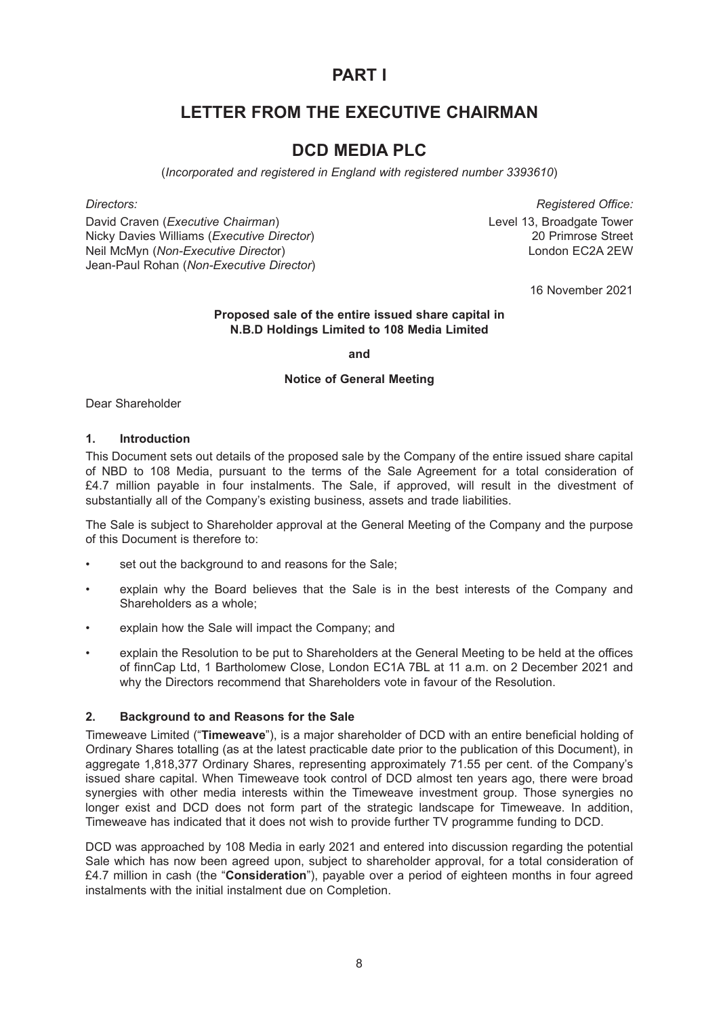# **PART I**

# **LETTER FROM THE EXECUTIVE CHAIRMAN**

# **DCD MEDIA PLC**

(*Incorporated and registered in England with registered number 3393610*)

David Craven (*Executive Chairman*) Level 13, Broadgate Tower Nicky Davies Williams (*Executive Director*) 20 Primrose Street Neil McMyn (*Non-Executive Directo*r) London EC2A 2EW Jean-Paul Rohan (*Non-Executive Director*)

*Directors: Registered Office:*

16 November 2021

#### **Proposed sale of the entire issued share capital in N.B.D Holdings Limited to 108 Media Limited**

**and**

### **Notice of General Meeting**

Dear Shareholder

#### **1. Introduction**

This Document sets out details of the proposed sale by the Company of the entire issued share capital of NBD to 108 Media, pursuant to the terms of the Sale Agreement for a total consideration of £4.7 million payable in four instalments. The Sale, if approved, will result in the divestment of substantially all of the Company's existing business, assets and trade liabilities.

The Sale is subject to Shareholder approval at the General Meeting of the Company and the purpose of this Document is therefore to:

- set out the background to and reasons for the Sale;
- explain why the Board believes that the Sale is in the best interests of the Company and Shareholders as a whole;
- explain how the Sale will impact the Company; and
- explain the Resolution to be put to Shareholders at the General Meeting to be held at the offices of finnCap Ltd, 1 Bartholomew Close, London EC1A 7BL at 11 a.m. on 2 December 2021 and why the Directors recommend that Shareholders vote in favour of the Resolution.

### **2. Background to and Reasons for the Sale**

Timeweave Limited ("**Timeweave**"), is a major shareholder of DCD with an entire beneficial holding of Ordinary Shares totalling (as at the latest practicable date prior to the publication of this Document), in aggregate 1,818,377 Ordinary Shares, representing approximately 71.55 per cent. of the Company's issued share capital. When Timeweave took control of DCD almost ten years ago, there were broad synergies with other media interests within the Timeweave investment group. Those synergies no longer exist and DCD does not form part of the strategic landscape for Timeweave. In addition, Timeweave has indicated that it does not wish to provide further TV programme funding to DCD.

DCD was approached by 108 Media in early 2021 and entered into discussion regarding the potential Sale which has now been agreed upon, subject to shareholder approval, for a total consideration of £4.7 million in cash (the "**Consideration**"), payable over a period of eighteen months in four agreed instalments with the initial instalment due on Completion.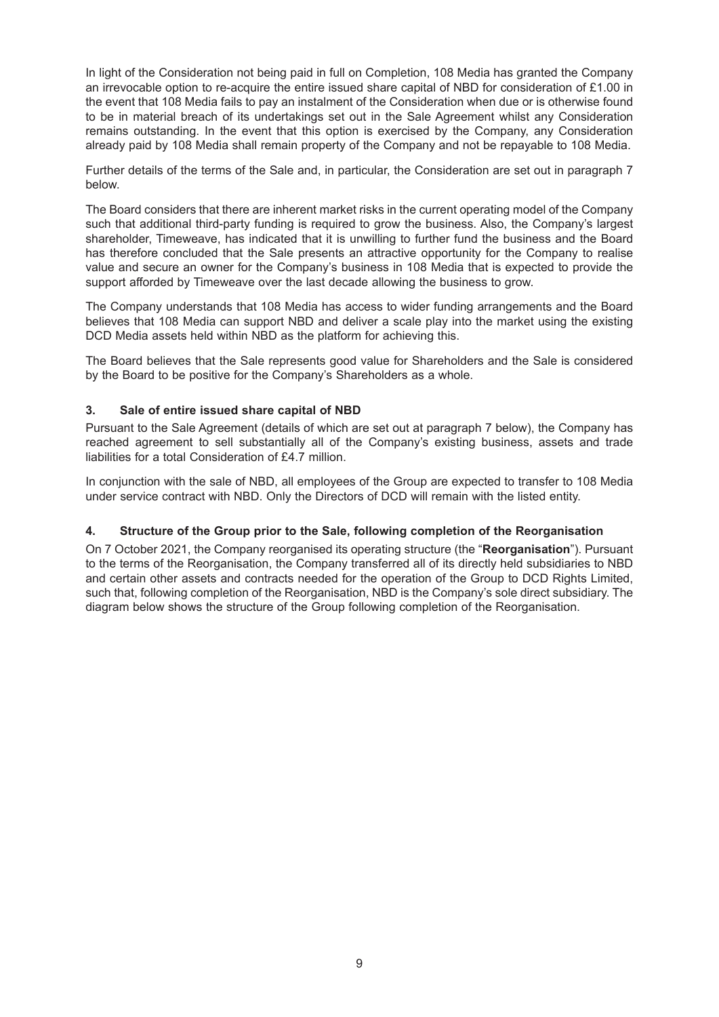In light of the Consideration not being paid in full on Completion, 108 Media has granted the Company an irrevocable option to re-acquire the entire issued share capital of NBD for consideration of £1.00 in the event that 108 Media fails to pay an instalment of the Consideration when due or is otherwise found to be in material breach of its undertakings set out in the Sale Agreement whilst any Consideration remains outstanding. In the event that this option is exercised by the Company, any Consideration already paid by 108 Media shall remain property of the Company and not be repayable to 108 Media.

Further details of the terms of the Sale and, in particular, the Consideration are set out in paragraph 7 below.

The Board considers that there are inherent market risks in the current operating model of the Company such that additional third-party funding is required to grow the business. Also, the Company's largest shareholder, Timeweave, has indicated that it is unwilling to further fund the business and the Board has therefore concluded that the Sale presents an attractive opportunity for the Company to realise value and secure an owner for the Company's business in 108 Media that is expected to provide the support afforded by Timeweave over the last decade allowing the business to grow.

The Company understands that 108 Media has access to wider funding arrangements and the Board believes that 108 Media can support NBD and deliver a scale play into the market using the existing DCD Media assets held within NBD as the platform for achieving this.

The Board believes that the Sale represents good value for Shareholders and the Sale is considered by the Board to be positive for the Company's Shareholders as a whole.

### **3. Sale of entire issued share capital of NBD**

Pursuant to the Sale Agreement (details of which are set out at paragraph 7 below), the Company has reached agreement to sell substantially all of the Company's existing business, assets and trade liabilities for a total Consideration of £4.7 million.

In conjunction with the sale of NBD, all employees of the Group are expected to transfer to 108 Media under service contract with NBD. Only the Directors of DCD will remain with the listed entity.

#### **4. Structure of the Group prior to the Sale, following completion of the Reorganisation**

On 7 October 2021, the Company reorganised its operating structure (the "**Reorganisation**"). Pursuant to the terms of the Reorganisation, the Company transferred all of its directly held subsidiaries to NBD and certain other assets and contracts needed for the operation of the Group to DCD Rights Limited, such that, following completion of the Reorganisation, NBD is the Company's sole direct subsidiary. The diagram below shows the structure of the Group following completion of the Reorganisation.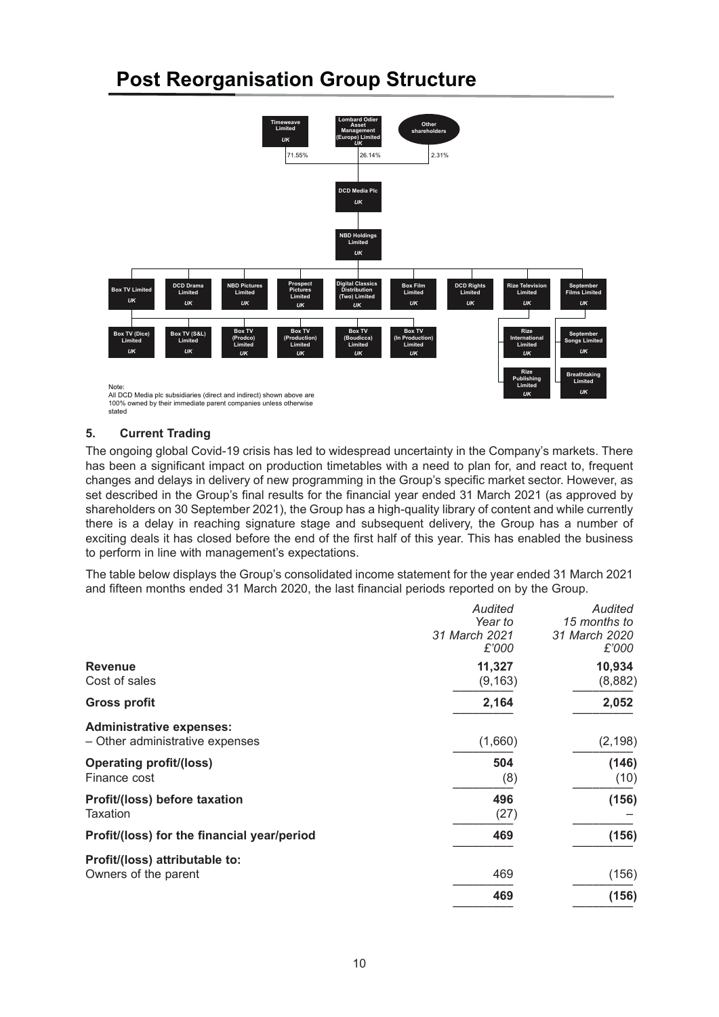# **Post Reorganisation Group Structure**



100% owned by their immediate parent companies unless otherwise stated

### **5. Current Trading**

The ongoing global Covid-19 crisis has led to widespread uncertainty in the Company's markets. There has been a significant impact on production timetables with a need to plan for, and react to, frequent changes and delays in delivery of new programming in the Group's specific market sector. However, as set described in the Group's final results for the financial year ended 31 March 2021 (as approved by shareholders on 30 September 2021), the Group has a high-quality library of content and while currently there is a delay in reaching signature stage and subsequent delivery, the Group has a number of exciting deals it has closed before the end of the first half of this year. This has enabled the business to perform in line with management's expectations.

The table below displays the Group's consolidated income statement for the year ended 31 March 2021 and fifteen months ended 31 March 2020, the last financial periods reported on by the Group.

| Audited<br>Year to<br>31 March 2021<br>£'000 | Audited<br>15 months to<br>31 March 2020<br>£'000 |
|----------------------------------------------|---------------------------------------------------|
| 11,327                                       | 10,934<br>(8,882)                                 |
| 2,164                                        | 2,052                                             |
| (1,660)                                      | (2, 198)                                          |
| 504<br>(8)                                   | (146)<br>(10)                                     |
| 496<br>(27)                                  | (156)                                             |
| 469                                          | (156)                                             |
|                                              | (156)                                             |
| 469                                          | (156)                                             |
|                                              | (9, 163)<br>469                                   |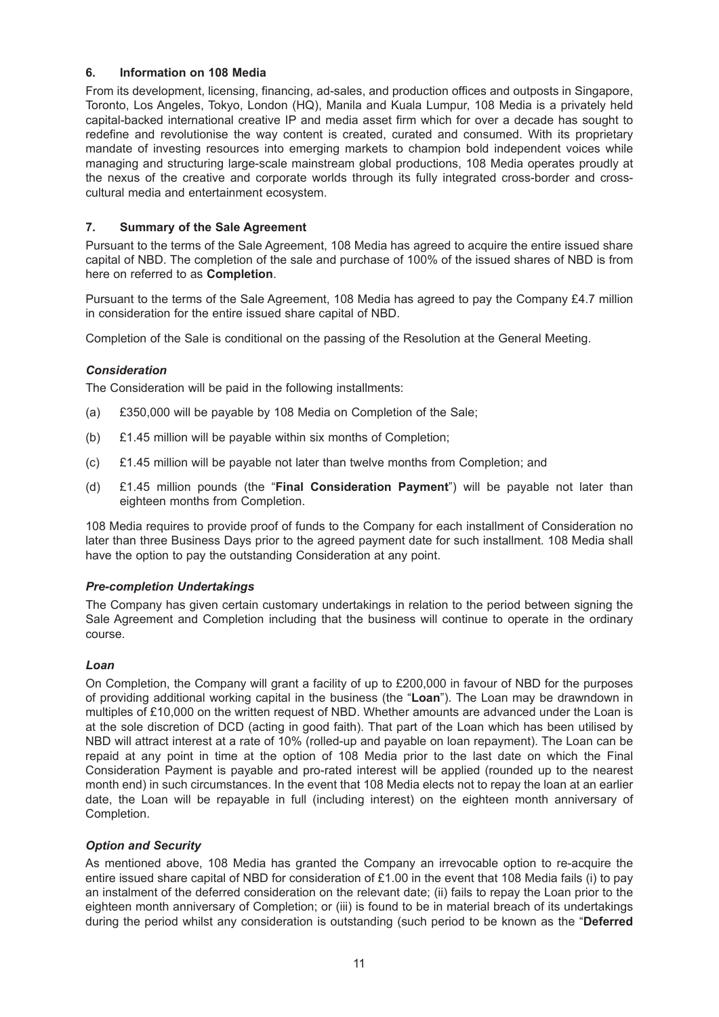### **6. Information on 108 Media**

From its development, licensing, financing, ad-sales, and production offices and outposts in Singapore, Toronto, Los Angeles, Tokyo, London (HQ), Manila and Kuala Lumpur, 108 Media is a privately held capital-backed international creative IP and media asset firm which for over a decade has sought to redefine and revolutionise the way content is created, curated and consumed. With its proprietary mandate of investing resources into emerging markets to champion bold independent voices while managing and structuring large-scale mainstream global productions, 108 Media operates proudly at the nexus of the creative and corporate worlds through its fully integrated cross-border and crosscultural media and entertainment ecosystem.

### **7. Summary of the Sale Agreement**

Pursuant to the terms of the Sale Agreement, 108 Media has agreed to acquire the entire issued share capital of NBD. The completion of the sale and purchase of 100% of the issued shares of NBD is from here on referred to as **Completion**.

Pursuant to the terms of the Sale Agreement, 108 Media has agreed to pay the Company £4.7 million in consideration for the entire issued share capital of NBD.

Completion of the Sale is conditional on the passing of the Resolution at the General Meeting.

### *Consideration*

The Consideration will be paid in the following installments:

- (a) £350,000 will be payable by 108 Media on Completion of the Sale;
- (b) £1.45 million will be payable within six months of Completion;
- (c) £1.45 million will be payable not later than twelve months from Completion; and
- (d) £1.45 million pounds (the "**Final Consideration Payment**") will be payable not later than eighteen months from Completion.

108 Media requires to provide proof of funds to the Company for each installment of Consideration no later than three Business Days prior to the agreed payment date for such installment. 108 Media shall have the option to pay the outstanding Consideration at any point.

### *Pre-completion Undertakings*

The Company has given certain customary undertakings in relation to the period between signing the Sale Agreement and Completion including that the business will continue to operate in the ordinary course.

### *Loan*

On Completion, the Company will grant a facility of up to £200,000 in favour of NBD for the purposes of providing additional working capital in the business (the "**Loan**"). The Loan may be drawndown in multiples of £10,000 on the written request of NBD. Whether amounts are advanced under the Loan is at the sole discretion of DCD (acting in good faith). That part of the Loan which has been utilised by NBD will attract interest at a rate of 10% (rolled-up and payable on loan repayment). The Loan can be repaid at any point in time at the option of 108 Media prior to the last date on which the Final Consideration Payment is payable and pro-rated interest will be applied (rounded up to the nearest month end) in such circumstances. In the event that 108 Media elects not to repay the loan at an earlier date, the Loan will be repayable in full (including interest) on the eighteen month anniversary of Completion.

### *Option and Security*

As mentioned above, 108 Media has granted the Company an irrevocable option to re-acquire the entire issued share capital of NBD for consideration of £1.00 in the event that 108 Media fails (i) to pay an instalment of the deferred consideration on the relevant date; (ii) fails to repay the Loan prior to the eighteen month anniversary of Completion; or (iii) is found to be in material breach of its undertakings during the period whilst any consideration is outstanding (such period to be known as the "**Deferred**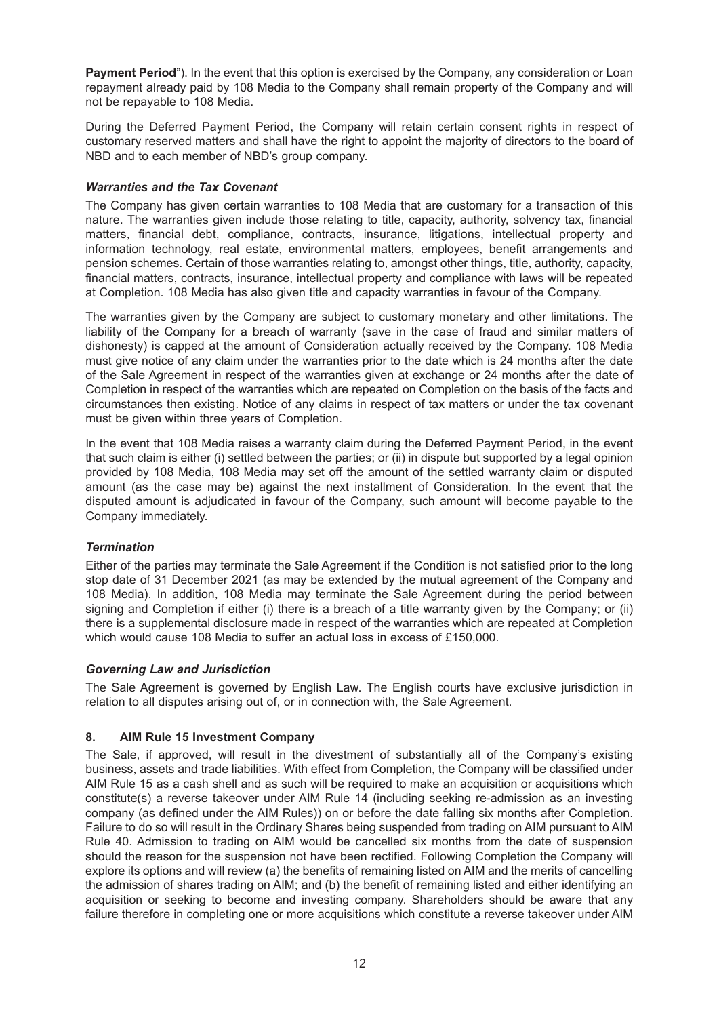**Payment Period**"). In the event that this option is exercised by the Company, any consideration or Loan repayment already paid by 108 Media to the Company shall remain property of the Company and will not be repayable to 108 Media.

During the Deferred Payment Period, the Company will retain certain consent rights in respect of customary reserved matters and shall have the right to appoint the majority of directors to the board of NBD and to each member of NBD's group company.

### *Warranties and the Tax Covenant*

The Company has given certain warranties to 108 Media that are customary for a transaction of this nature. The warranties given include those relating to title, capacity, authority, solvency tax, financial matters, financial debt, compliance, contracts, insurance, litigations, intellectual property and information technology, real estate, environmental matters, employees, benefit arrangements and pension schemes. Certain of those warranties relating to, amongst other things, title, authority, capacity, financial matters, contracts, insurance, intellectual property and compliance with laws will be repeated at Completion. 108 Media has also given title and capacity warranties in favour of the Company.

The warranties given by the Company are subject to customary monetary and other limitations. The liability of the Company for a breach of warranty (save in the case of fraud and similar matters of dishonesty) is capped at the amount of Consideration actually received by the Company. 108 Media must give notice of any claim under the warranties prior to the date which is 24 months after the date of the Sale Agreement in respect of the warranties given at exchange or 24 months after the date of Completion in respect of the warranties which are repeated on Completion on the basis of the facts and circumstances then existing. Notice of any claims in respect of tax matters or under the tax covenant must be given within three years of Completion.

In the event that 108 Media raises a warranty claim during the Deferred Payment Period, in the event that such claim is either (i) settled between the parties; or (ii) in dispute but supported by a legal opinion provided by 108 Media, 108 Media may set off the amount of the settled warranty claim or disputed amount (as the case may be) against the next installment of Consideration. In the event that the disputed amount is adjudicated in favour of the Company, such amount will become payable to the Company immediately.

### *Termination*

Either of the parties may terminate the Sale Agreement if the Condition is not satisfied prior to the long stop date of 31 December 2021 (as may be extended by the mutual agreement of the Company and 108 Media). In addition, 108 Media may terminate the Sale Agreement during the period between signing and Completion if either (i) there is a breach of a title warranty given by the Company; or (ii) there is a supplemental disclosure made in respect of the warranties which are repeated at Completion which would cause 108 Media to suffer an actual loss in excess of £150,000.

### *Governing Law and Jurisdiction*

The Sale Agreement is governed by English Law. The English courts have exclusive jurisdiction in relation to all disputes arising out of, or in connection with, the Sale Agreement.

### **8. AIM Rule 15 Investment Company**

The Sale, if approved, will result in the divestment of substantially all of the Company's existing business, assets and trade liabilities. With effect from Completion, the Company will be classified under AIM Rule 15 as a cash shell and as such will be required to make an acquisition or acquisitions which constitute(s) a reverse takeover under AIM Rule 14 (including seeking re-admission as an investing company (as defined under the AIM Rules)) on or before the date falling six months after Completion. Failure to do so will result in the Ordinary Shares being suspended from trading on AIM pursuant to AIM Rule 40. Admission to trading on AIM would be cancelled six months from the date of suspension should the reason for the suspension not have been rectified. Following Completion the Company will explore its options and will review (a) the benefits of remaining listed on AIM and the merits of cancelling the admission of shares trading on AIM; and (b) the benefit of remaining listed and either identifying an acquisition or seeking to become and investing company. Shareholders should be aware that any failure therefore in completing one or more acquisitions which constitute a reverse takeover under AIM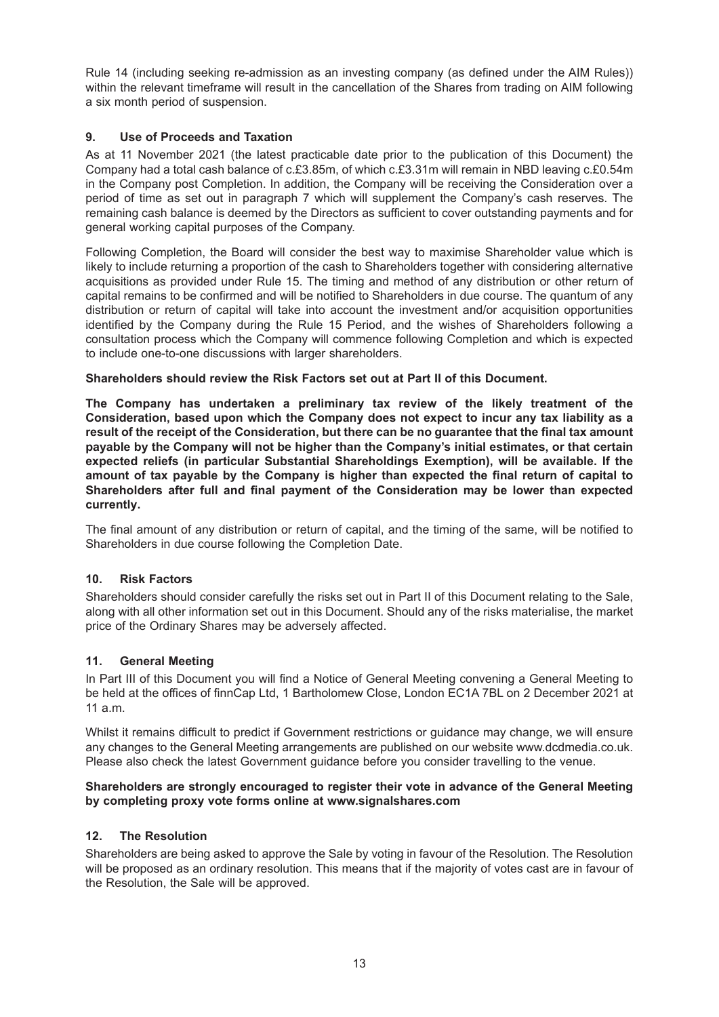Rule 14 (including seeking re-admission as an investing company (as defined under the AIM Rules)) within the relevant timeframe will result in the cancellation of the Shares from trading on AIM following a six month period of suspension.

### **9. Use of Proceeds and Taxation**

As at 11 November 2021 (the latest practicable date prior to the publication of this Document) the Company had a total cash balance of c.£3.85m, of which c.£3.31m will remain in NBD leaving c.£0.54m in the Company post Completion. In addition, the Company will be receiving the Consideration over a period of time as set out in paragraph 7 which will supplement the Company's cash reserves. The remaining cash balance is deemed by the Directors as sufficient to cover outstanding payments and for general working capital purposes of the Company.

Following Completion, the Board will consider the best way to maximise Shareholder value which is likely to include returning a proportion of the cash to Shareholders together with considering alternative acquisitions as provided under Rule 15. The timing and method of any distribution or other return of capital remains to be confirmed and will be notified to Shareholders in due course. The quantum of any distribution or return of capital will take into account the investment and/or acquisition opportunities identified by the Company during the Rule 15 Period, and the wishes of Shareholders following a consultation process which the Company will commence following Completion and which is expected to include one-to-one discussions with larger shareholders.

### **Shareholders should review the Risk Factors set out at Part II of this Document.**

**The Company has undertaken a preliminary tax review of the likely treatment of the Consideration, based upon which the Company does not expect to incur any tax liability as a** result of the receipt of the Consideration, but there can be no quarantee that the final tax amount **payable by the Company will not be higher than the Company's initial estimates, or that certain expected reliefs (in particular Substantial Shareholdings Exemption), will be available. If the amount of tax payable by the Company is higher than expected the final return of capital to Shareholders after full and final payment of the Consideration may be lower than expected currently.**

The final amount of any distribution or return of capital, and the timing of the same, will be notified to Shareholders in due course following the Completion Date.

### **10. Risk Factors**

Shareholders should consider carefully the risks set out in Part II of this Document relating to the Sale, along with all other information set out in this Document. Should any of the risks materialise, the market price of the Ordinary Shares may be adversely affected.

### **11. General Meeting**

In Part III of this Document you will find a Notice of General Meeting convening a General Meeting to be held at the offices of finnCap Ltd, 1 Bartholomew Close, London EC1A 7BL on 2 December 2021 at 11 a.m.

Whilst it remains difficult to predict if Government restrictions or guidance may change, we will ensure any changes to the General Meeting arrangements are published on our website www.dcdmedia.co.uk. Please also check the latest Government guidance before you consider travelling to the venue.

#### **Shareholders are strongly encouraged to register their vote in advance of the General Meeting by completing proxy vote forms online at www.signalshares.com**

### **12. The Resolution**

Shareholders are being asked to approve the Sale by voting in favour of the Resolution. The Resolution will be proposed as an ordinary resolution. This means that if the majority of votes cast are in favour of the Resolution, the Sale will be approved.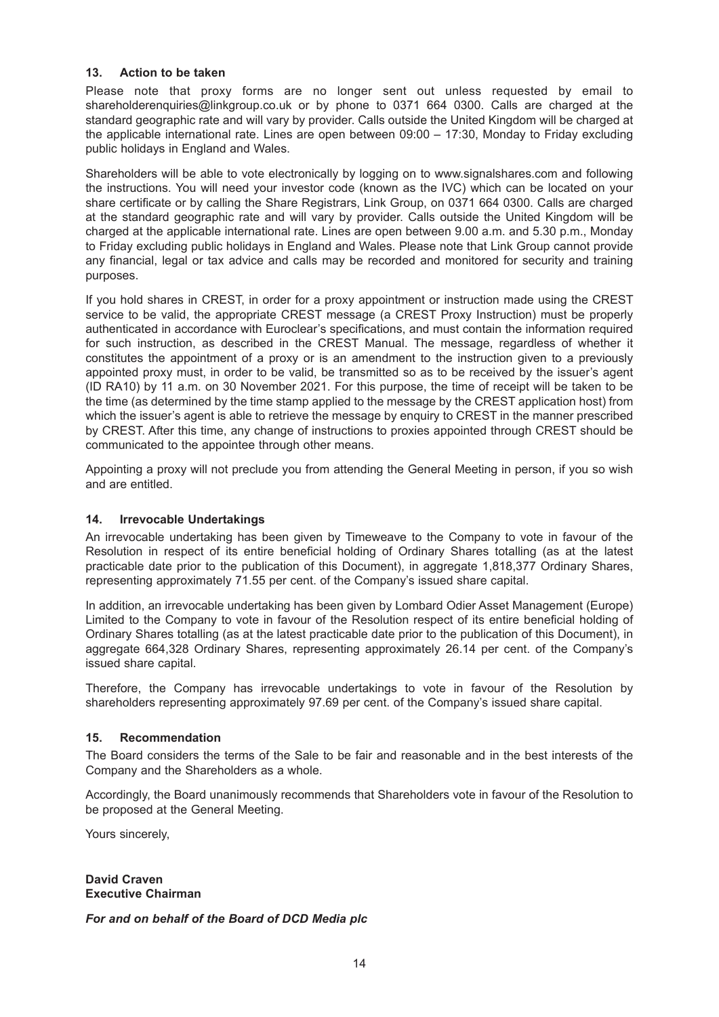### **13. Action to be taken**

Please note that proxy forms are no longer sent out unless requested by email to shareholderenquiries@linkgroup.co.uk or by phone to 0371 664 0300. Calls are charged at the standard geographic rate and will vary by provider. Calls outside the United Kingdom will be charged at the applicable international rate. Lines are open between 09:00 – 17:30, Monday to Friday excluding public holidays in England and Wales.

Shareholders will be able to vote electronically by logging on to www.signalshares.com and following the instructions. You will need your investor code (known as the IVC) which can be located on your share certificate or by calling the Share Registrars, Link Group, on 0371 664 0300. Calls are charged at the standard geographic rate and will vary by provider. Calls outside the United Kingdom will be charged at the applicable international rate. Lines are open between 9.00 a.m. and 5.30 p.m., Monday to Friday excluding public holidays in England and Wales. Please note that Link Group cannot provide any financial, legal or tax advice and calls may be recorded and monitored for security and training purposes.

If you hold shares in CREST, in order for a proxy appointment or instruction made using the CREST service to be valid, the appropriate CREST message (a CREST Proxy Instruction) must be properly authenticated in accordance with Euroclear's specifications, and must contain the information required for such instruction, as described in the CREST Manual. The message, regardless of whether it constitutes the appointment of a proxy or is an amendment to the instruction given to a previously appointed proxy must, in order to be valid, be transmitted so as to be received by the issuer's agent (ID RA10) by 11 a.m. on 30 November 2021. For this purpose, the time of receipt will be taken to be the time (as determined by the time stamp applied to the message by the CREST application host) from which the issuer's agent is able to retrieve the message by enquiry to CREST in the manner prescribed by CREST. After this time, any change of instructions to proxies appointed through CREST should be communicated to the appointee through other means.

Appointing a proxy will not preclude you from attending the General Meeting in person, if you so wish and are entitled.

### **14. Irrevocable Undertakings**

An irrevocable undertaking has been given by Timeweave to the Company to vote in favour of the Resolution in respect of its entire beneficial holding of Ordinary Shares totalling (as at the latest practicable date prior to the publication of this Document), in aggregate 1,818,377 Ordinary Shares, representing approximately 71.55 per cent. of the Company's issued share capital.

In addition, an irrevocable undertaking has been given by Lombard Odier Asset Management (Europe) Limited to the Company to vote in favour of the Resolution respect of its entire beneficial holding of Ordinary Shares totalling (as at the latest practicable date prior to the publication of this Document), in aggregate 664,328 Ordinary Shares, representing approximately 26.14 per cent. of the Company's issued share capital.

Therefore, the Company has irrevocable undertakings to vote in favour of the Resolution by shareholders representing approximately 97.69 per cent. of the Company's issued share capital.

### **15. Recommendation**

The Board considers the terms of the Sale to be fair and reasonable and in the best interests of the Company and the Shareholders as a whole.

Accordingly, the Board unanimously recommends that Shareholders vote in favour of the Resolution to be proposed at the General Meeting.

Yours sincerely,

**David Craven Executive Chairman**

*For and on behalf of the Board of DCD Media plc*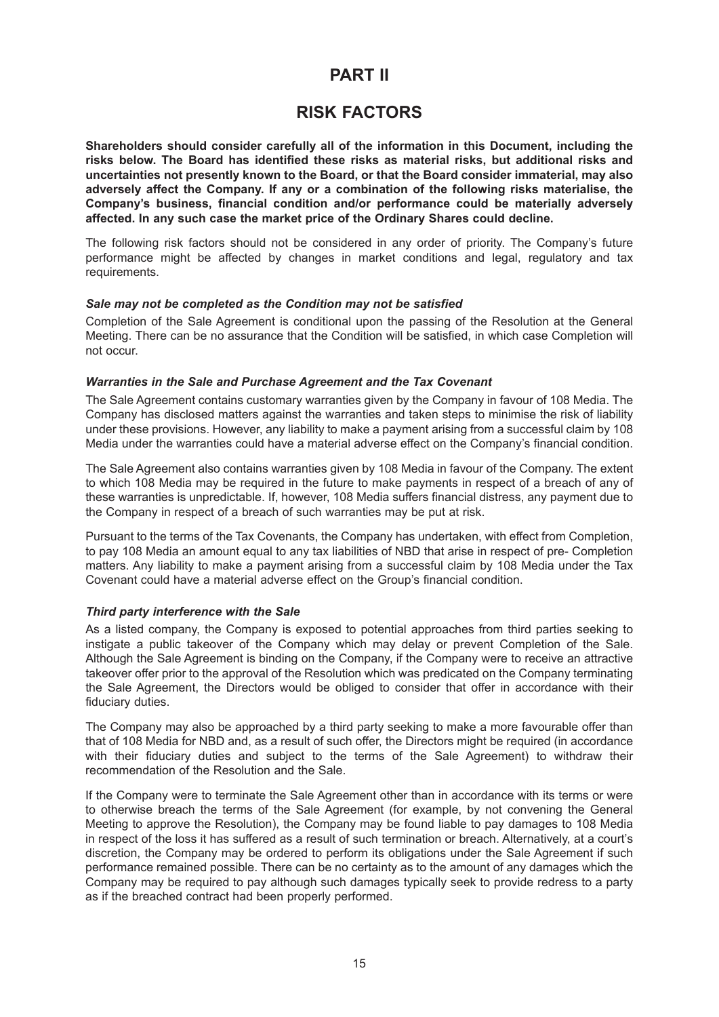# **PART II**

## **RISK FACTORS**

**Shareholders should consider carefully all of the information in this Document, including the risks below. The Board has identified these risks as material risks, but additional risks and uncertainties not presently known to the Board, or that the Board consider immaterial, may also adversely affect the Company. If any or a combination of the following risks materialise, the Company's business, financial condition and/or performance could be materially adversely affected. In any such case the market price of the Ordinary Shares could decline.**

The following risk factors should not be considered in any order of priority. The Company's future performance might be affected by changes in market conditions and legal, regulatory and tax requirements.

#### *Sale may not be completed as the Condition may not be satisfied*

Completion of the Sale Agreement is conditional upon the passing of the Resolution at the General Meeting. There can be no assurance that the Condition will be satisfied, in which case Completion will not occur.

#### *Warranties in the Sale and Purchase Agreement and the Tax Covenant*

The Sale Agreement contains customary warranties given by the Company in favour of 108 Media. The Company has disclosed matters against the warranties and taken steps to minimise the risk of liability under these provisions. However, any liability to make a payment arising from a successful claim by 108 Media under the warranties could have a material adverse effect on the Company's financial condition.

The Sale Agreement also contains warranties given by 108 Media in favour of the Company. The extent to which 108 Media may be required in the future to make payments in respect of a breach of any of these warranties is unpredictable. If, however, 108 Media suffers financial distress, any payment due to the Company in respect of a breach of such warranties may be put at risk.

Pursuant to the terms of the Tax Covenants, the Company has undertaken, with effect from Completion, to pay 108 Media an amount equal to any tax liabilities of NBD that arise in respect of pre- Completion matters. Any liability to make a payment arising from a successful claim by 108 Media under the Tax Covenant could have a material adverse effect on the Group's financial condition.

### *Third party interference with the Sale*

As a listed company, the Company is exposed to potential approaches from third parties seeking to instigate a public takeover of the Company which may delay or prevent Completion of the Sale. Although the Sale Agreement is binding on the Company, if the Company were to receive an attractive takeover offer prior to the approval of the Resolution which was predicated on the Company terminating the Sale Agreement, the Directors would be obliged to consider that offer in accordance with their fiduciary duties.

The Company may also be approached by a third party seeking to make a more favourable offer than that of 108 Media for NBD and, as a result of such offer, the Directors might be required (in accordance with their fiduciary duties and subject to the terms of the Sale Agreement) to withdraw their recommendation of the Resolution and the Sale.

If the Company were to terminate the Sale Agreement other than in accordance with its terms or were to otherwise breach the terms of the Sale Agreement (for example, by not convening the General Meeting to approve the Resolution), the Company may be found liable to pay damages to 108 Media in respect of the loss it has suffered as a result of such termination or breach. Alternatively, at a court's discretion, the Company may be ordered to perform its obligations under the Sale Agreement if such performance remained possible. There can be no certainty as to the amount of any damages which the Company may be required to pay although such damages typically seek to provide redress to a party as if the breached contract had been properly performed.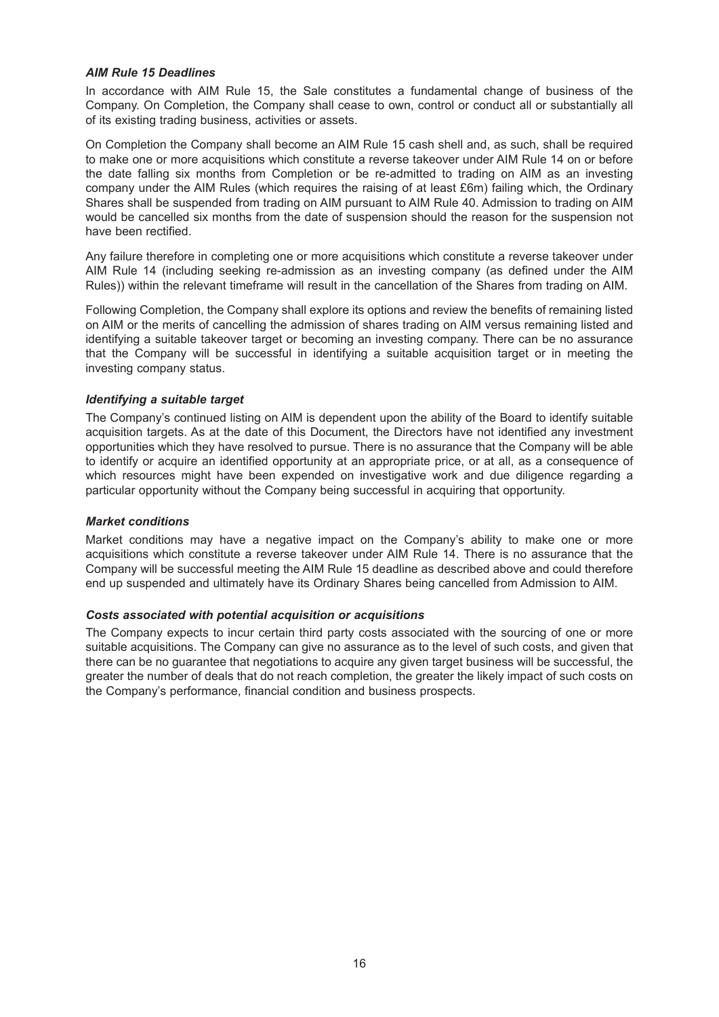#### *AIM Rule 15 Deadlines*

In accordance with AIM Rule 15, the Sale constitutes a fundamental change of business of the Company. On Completion, the Company shall cease to own, control or conduct all or substantially all of its existing trading business, activities or assets.

On Completion the Company shall become an AIM Rule 15 cash shell and, as such, shall be required to make one or more acquisitions which constitute a reverse takeover under AIM Rule 14 on or before the date falling six months from Completion or be re-admitted to trading on AIM as an investing company under the AIM Rules (which requires the raising of at least £6m) failing which, the Ordinary Shares shall be suspended from trading on AIM pursuant to AIM Rule 40. Admission to trading on AIM would be cancelled six months from the date of suspension should the reason for the suspension not have been rectified.

Any failure therefore in completing one or more acquisitions which constitute a reverse takeover under AIM Rule 14 (including seeking re-admission as an investing company (as defined under the AIM Rules)) within the relevant timeframe will result in the cancellation of the Shares from trading on AIM.

Following Completion, the Company shall explore its options and review the benefits of remaining listed on AIM or the merits of cancelling the admission of shares trading on AIM versus remaining listed and identifying a suitable takeover target or becoming an investing company. There can be no assurance that the Company will be successful in identifying a suitable acquisition target or in meeting the investing company status.

#### *Identifying a suitable target*

The Company's continued listing on AIM is dependent upon the ability of the Board to identify suitable acquisition targets. As at the date of this Document, the Directors have not identified any investment opportunities which they have resolved to pursue. There is no assurance that the Company will be able to identify or acquire an identified opportunity at an appropriate price, or at all, as a consequence of which resources might have been expended on investigative work and due diligence regarding a particular opportunity without the Company being successful in acquiring that opportunity.

#### *Market conditions*

Market conditions may have a negative impact on the Company's ability to make one or more acquisitions which constitute a reverse takeover under AIM Rule 14. There is no assurance that the Company will be successful meeting the AIM Rule 15 deadline as described above and could therefore end up suspended and ultimately have its Ordinary Shares being cancelled from Admission to AIM.

#### *Costs associated with potential acquisition or acquisitions*

The Company expects to incur certain third party costs associated with the sourcing of one or more suitable acquisitions. The Company can give no assurance as to the level of such costs, and given that there can be no guarantee that negotiations to acquire any given target business will be successful, the greater the number of deals that do not reach completion, the greater the likely impact of such costs on the Company's performance, financial condition and business prospects.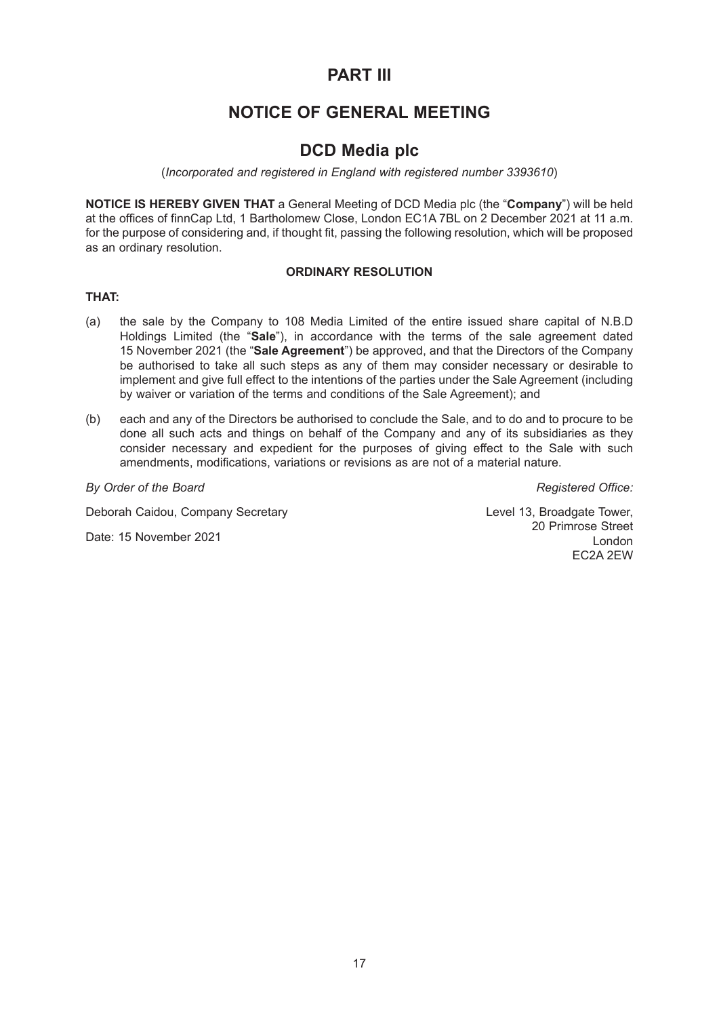# **PART III**

# **NOTICE OF GENERAL MEETING**

## **DCD Media plc**

(*Incorporated and registered in England with registered number 3393610*)

**NOTICE IS HEREBY GIVEN THAT** a General Meeting of DCD Media plc (the "**Company**") will be held at the offices of finnCap Ltd, 1 Bartholomew Close, London EC1A 7BL on 2 December 2021 at 11 a.m. for the purpose of considering and, if thought fit, passing the following resolution, which will be proposed as an ordinary resolution.

### **ORDINARY RESOLUTION**

### **THAT:**

- (a) the sale by the Company to 108 Media Limited of the entire issued share capital of N.B.D Holdings Limited (the "**Sale**"), in accordance with the terms of the sale agreement dated 15 November 2021 (the "**Sale Agreement**") be approved, and that the Directors of the Company be authorised to take all such steps as any of them may consider necessary or desirable to implement and give full effect to the intentions of the parties under the Sale Agreement (including by waiver or variation of the terms and conditions of the Sale Agreement); and
- (b) each and any of the Directors be authorised to conclude the Sale, and to do and to procure to be done all such acts and things on behalf of the Company and any of its subsidiaries as they consider necessary and expedient for the purposes of giving effect to the Sale with such amendments, modifications, variations or revisions as are not of a material nature.

**By** Order of the Board **Contract** *Board* **Contract** *By Office: By Office: Registered Office:* 

Deborah Caidou, Company Secretary

Date: 15 November 2021

Level 13, Broadgate Tower, 20 Primrose Street London EC2A 2EW